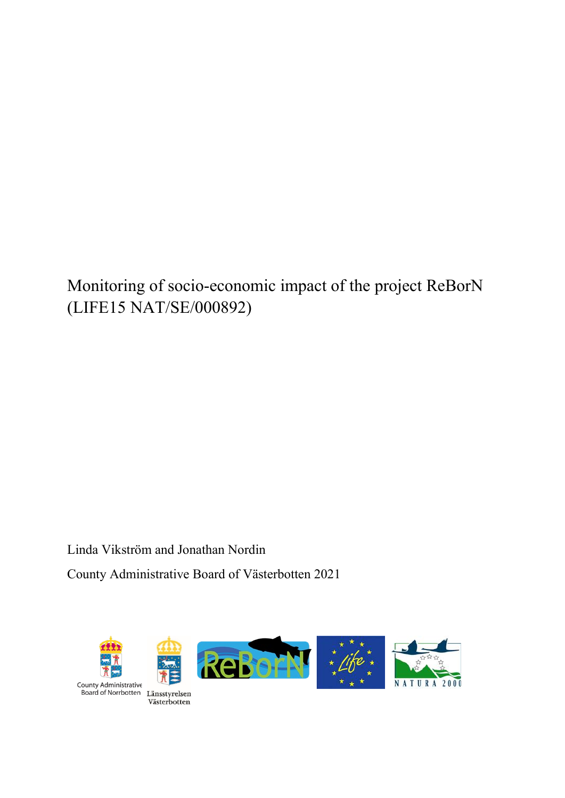# Monitoring of socio-economic impact of the project ReBorN (LIFE15 NAT/SE/000892)

Linda Vikström and Jonathan Nordin County Administrative Board of Västerbotten 2021

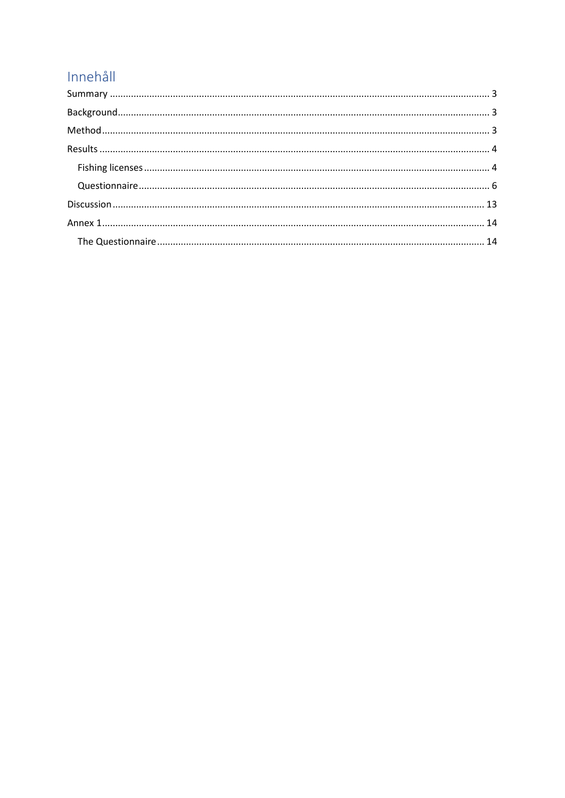## Innehåll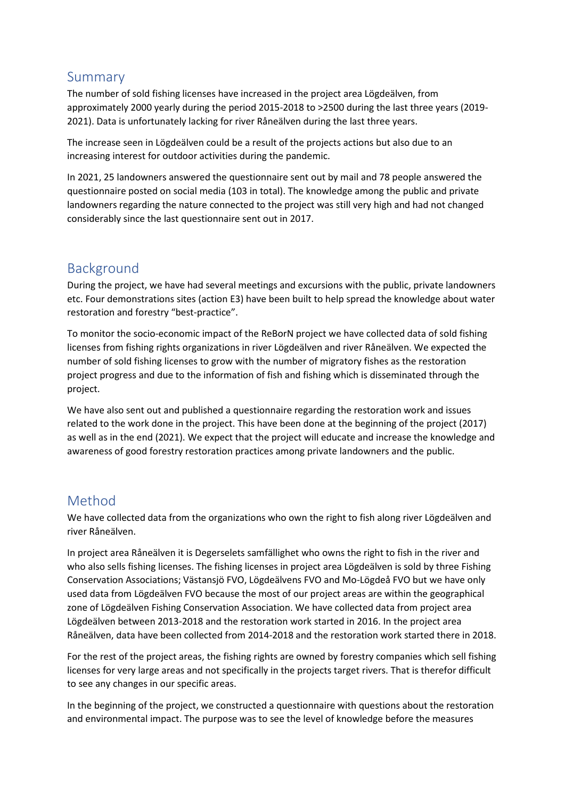## <span id="page-2-0"></span>Summary

The number of sold fishing licenses have increased in the project area Lögdeälven, from approximately 2000 yearly during the period 2015-2018 to >2500 during the last three years (2019- 2021). Data is unfortunately lacking for river Råneälven during the last three years.

The increase seen in Lögdeälven could be a result of the projects actions but also due to an increasing interest for outdoor activities during the pandemic.

In 2021, 25 landowners answered the questionnaire sent out by mail and 78 people answered the questionnaire posted on social media (103 in total). The knowledge among the public and private landowners regarding the nature connected to the project was still very high and had not changed considerably since the last questionnaire sent out in 2017.

## <span id="page-2-1"></span>Background

During the project, we have had several meetings and excursions with the public, private landowners etc. Four demonstrations sites (action E3) have been built to help spread the knowledge about water restoration and forestry "best-practice".

To monitor the socio-economic impact of the ReBorN project we have collected data of sold fishing licenses from fishing rights organizations in river Lögdeälven and river Råneälven. We expected the number of sold fishing licenses to grow with the number of migratory fishes as the restoration project progress and due to the information of fish and fishing which is disseminated through the project.

We have also sent out and published a questionnaire regarding the restoration work and issues related to the work done in the project. This have been done at the beginning of the project (2017) as well as in the end (2021). We expect that the project will educate and increase the knowledge and awareness of good forestry restoration practices among private landowners and the public.

## <span id="page-2-2"></span>Method

We have collected data from the organizations who own the right to fish along river Lögdeälven and river Råneälven.

In project area Råneälven it is Degerselets samfällighet who owns the right to fish in the river and who also sells fishing licenses. The fishing licenses in project area Lögdeälven is sold by three Fishing Conservation Associations; Västansjö FVO, Lögdeälvens FVO and Mo-Lögdeå FVO but we have only used data from Lögdeälven FVO because the most of our project areas are within the geographical zone of Lögdeälven Fishing Conservation Association. We have collected data from project area Lögdeälven between 2013-2018 and the restoration work started in 2016. In the project area Råneälven, data have been collected from 2014-2018 and the restoration work started there in 2018.

For the rest of the project areas, the fishing rights are owned by forestry companies which sell fishing licenses for very large areas and not specifically in the projects target rivers. That is therefor difficult to see any changes in our specific areas.

In the beginning of the project, we constructed a questionnaire with questions about the restoration and environmental impact. The purpose was to see the level of knowledge before the measures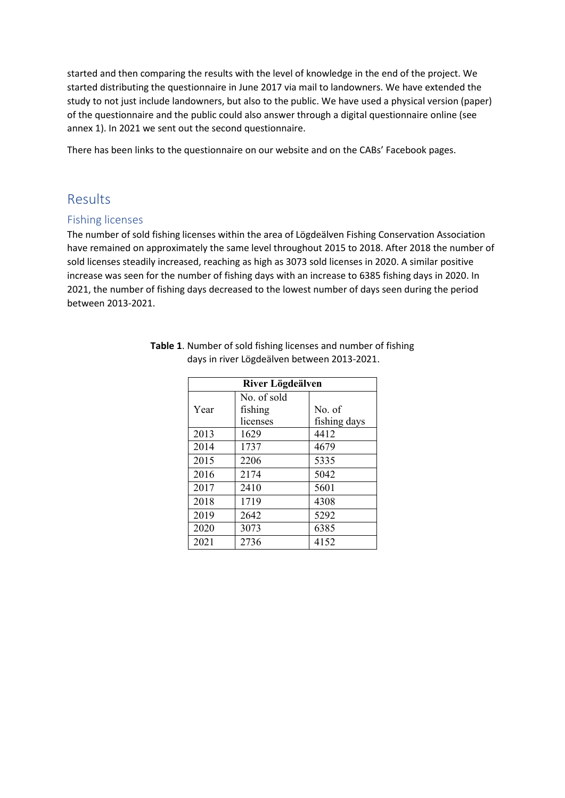started and then comparing the results with the level of knowledge in the end of the project. We started distributing the questionnaire in June 2017 via mail to landowners. We have extended the study to not just include landowners, but also to the public. We have used a physical version (paper) of the questionnaire and the public could also answer through a digital questionnaire online (see annex 1). In 2021 we sent out the second questionnaire.

There has been links to the questionnaire on our website and on the CABs' Facebook pages.

## <span id="page-3-0"></span>Results

#### <span id="page-3-1"></span>Fishing licenses

The number of sold fishing licenses within the area of Lögdeälven Fishing Conservation Association have remained on approximately the same level throughout 2015 to 2018. After 2018 the number of sold licenses steadily increased, reaching as high as 3073 sold licenses in 2020. A similar positive increase was seen for the number of fishing days with an increase to 6385 fishing days in 2020. In 2021, the number of fishing days decreased to the lowest number of days seen during the period between 2013-2021.

| River Lögdeälven |             |              |  |  |  |  |
|------------------|-------------|--------------|--|--|--|--|
|                  | No. of sold |              |  |  |  |  |
| Year             | fishing     | No. of       |  |  |  |  |
|                  | licenses    | fishing days |  |  |  |  |
| 2013             | 1629        | 4412         |  |  |  |  |
| 2014             | 1737        | 4679         |  |  |  |  |
| 2015             | 2206        | 5335         |  |  |  |  |
| 2016             | 2174        | 5042         |  |  |  |  |
| 2017             | 2410        | 5601         |  |  |  |  |
| 2018             | 1719        | 4308         |  |  |  |  |
| 2019             | 2642        | 5292         |  |  |  |  |
| 2020             | 3073        | 6385         |  |  |  |  |
| 2021             | 2736        | 4152         |  |  |  |  |

**Table 1**. Number of sold fishing licenses and number of fishing days in river Lögdeälven between 2013-2021.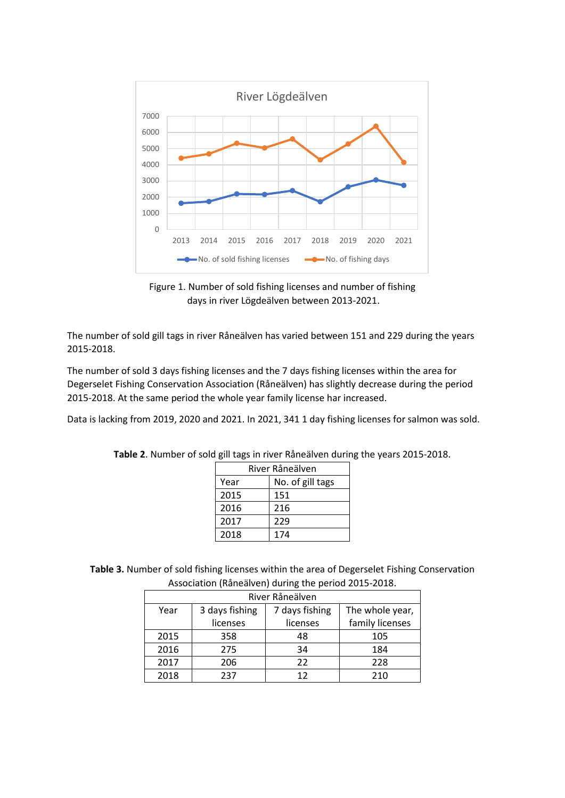

Figure 1. Number of sold fishing licenses and number of fishing days in river Lögdeälven between 2013-2021.

The number of sold gill tags in river Råneälven has varied between 151 and 229 during the years 2015-2018.

The number of sold 3 days fishing licenses and the 7 days fishing licenses within the area for Degerselet Fishing Conservation Association (Råneälven) has slightly decrease during the period 2015-2018. At the same period the whole year family license har increased.

Data is lacking from 2019, 2020 and 2021. In 2021, 341 1 day fishing licenses for salmon was sold.

| River Råneälven |                  |  |  |  |  |
|-----------------|------------------|--|--|--|--|
| Year            | No. of gill tags |  |  |  |  |
| 2015            | 151              |  |  |  |  |
| 2016            | 216              |  |  |  |  |
| 2017            | 229              |  |  |  |  |
| 2018            | 174              |  |  |  |  |

**Table 2**. Number of sold gill tags in river Råneälven during the years 2015-2018.

**Table 3.** Number of sold fishing licenses within the area of Degerselet Fishing Conservation Association (Råneälven) during the period 2015-2018.

| River Råneälven |                |                |                 |  |  |  |  |
|-----------------|----------------|----------------|-----------------|--|--|--|--|
| Year            | 3 days fishing | 7 days fishing | The whole year, |  |  |  |  |
|                 | licenses       | licenses       | family licenses |  |  |  |  |
| 2015            | 358            | 48             | 105             |  |  |  |  |
| 2016            | 275            | 34             | 184             |  |  |  |  |
| 2017            | 206            | 22             | 228             |  |  |  |  |
| 2018            | 237            | 17             | 210             |  |  |  |  |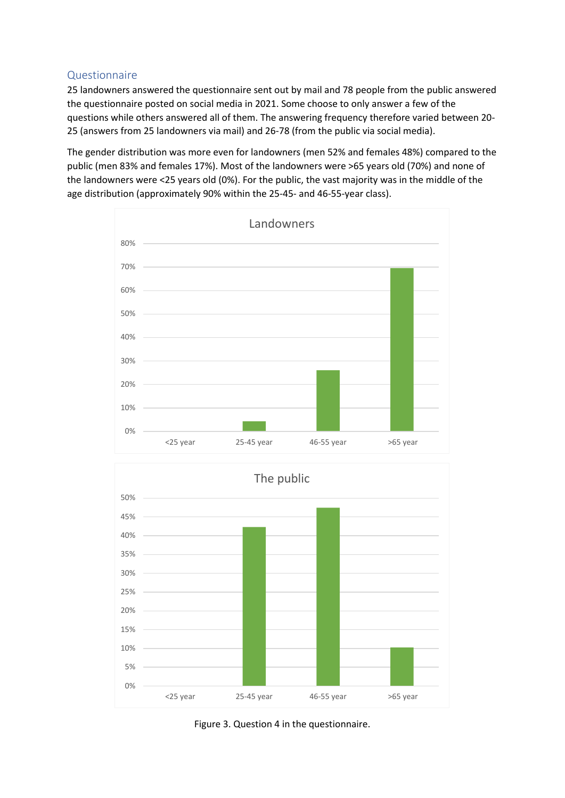#### <span id="page-5-0"></span>Questionnaire

25 landowners answered the questionnaire sent out by mail and 78 people from the public answered the questionnaire posted on social media in 2021. Some choose to only answer a few of the questions while others answered all of them. The answering frequency therefore varied between 20- 25 (answers from 25 landowners via mail) and 26-78 (from the public via social media).

The gender distribution was more even for landowners (men 52% and females 48%) compared to the public (men 83% and females 17%). Most of the landowners were >65 years old (70%) and none of the landowners were <25 years old (0%). For the public, the vast majority was in the middle of the age distribution (approximately 90% within the 25-45- and 46-55-year class).



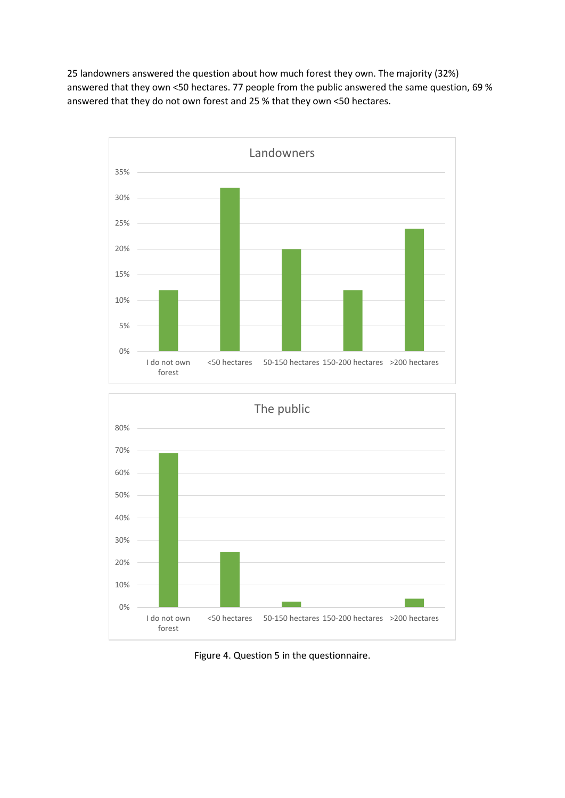25 landowners answered the question about how much forest they own. The majority (32%) answered that they own <50 hectares. 77 people from the public answered the same question, 69 % answered that they do not own forest and 25 % that they own <50 hectares.





Figure 4. Question 5 in the questionnaire.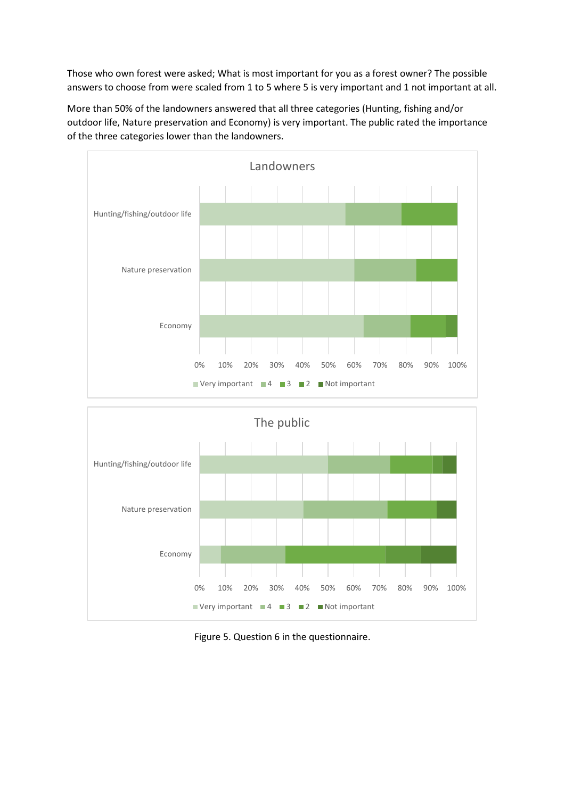Those who own forest were asked; What is most important for you as a forest owner? The possible answers to choose from were scaled from 1 to 5 where 5 is very important and 1 not important at all.

More than 50% of the landowners answered that all three categories (Hunting, fishing and/or outdoor life, Nature preservation and Economy) is very important. The public rated the importance of the three categories lower than the landowners.





Figure 5. Question 6 in the questionnaire.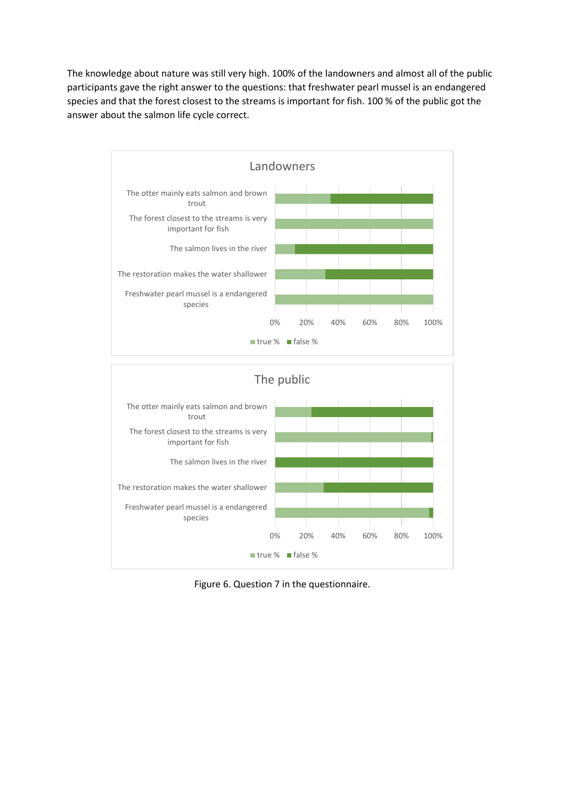The knowledge about nature was still very high. 100% of the landowners and almost all of the public participants gave the right answer to the questions: that freshwater pearl mussel is an endangered species and that the forest closest to the streams is important for fish. 100 % of the public got the answer about the salmon life cycle correct.





Figure 6. Question 7 in the questionnaire.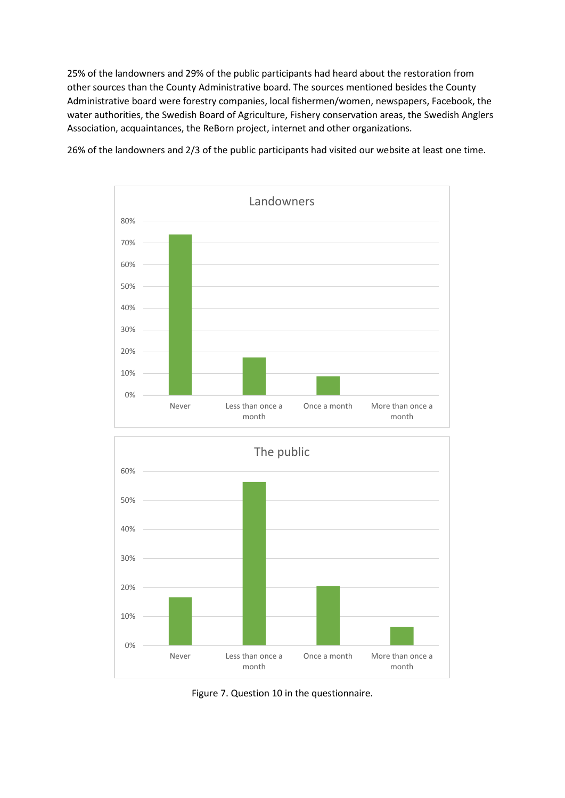25% of the landowners and 29% of the public participants had heard about the restoration from other sources than the County Administrative board. The sources mentioned besides the County Administrative board were forestry companies, local fishermen/women, newspapers, Facebook, the water authorities, the Swedish Board of Agriculture, Fishery conservation areas, the Swedish Anglers Association, acquaintances, the ReBorn project, internet and other organizations.



26% of the landowners and 2/3 of the public participants had visited our website at least one time.



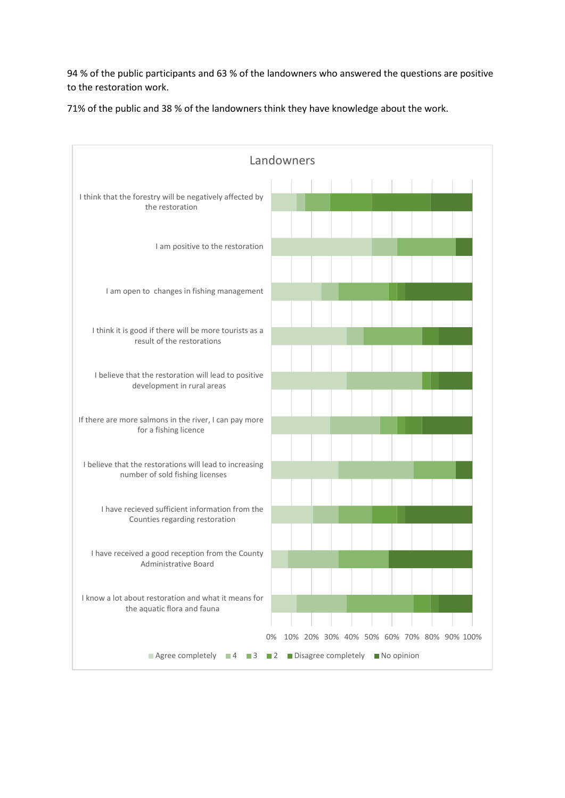94 % of the public participants and 63 % of the landowners who answered the questions are positive to the restoration work.

71% of the public and 38 % of the landowners think they have knowledge about the work.

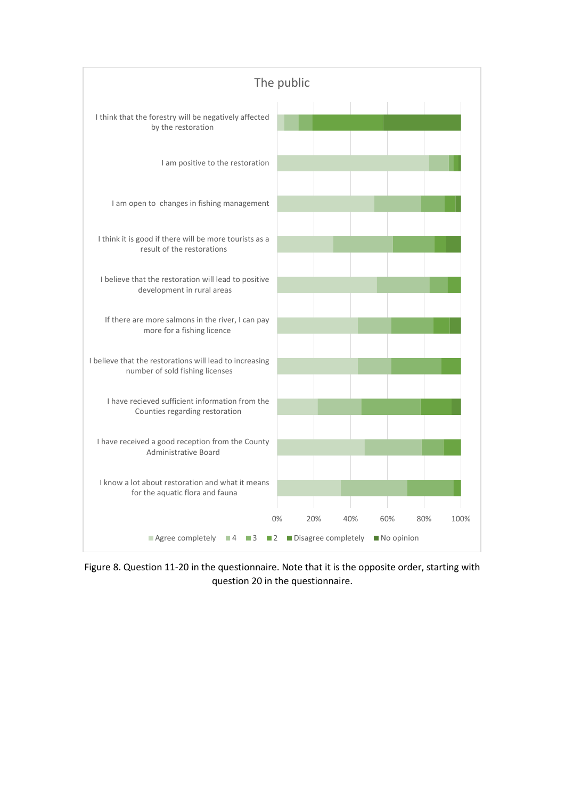

Figure 8. Question 11-20 in the questionnaire. Note that it is the opposite order, starting with question 20 in the questionnaire.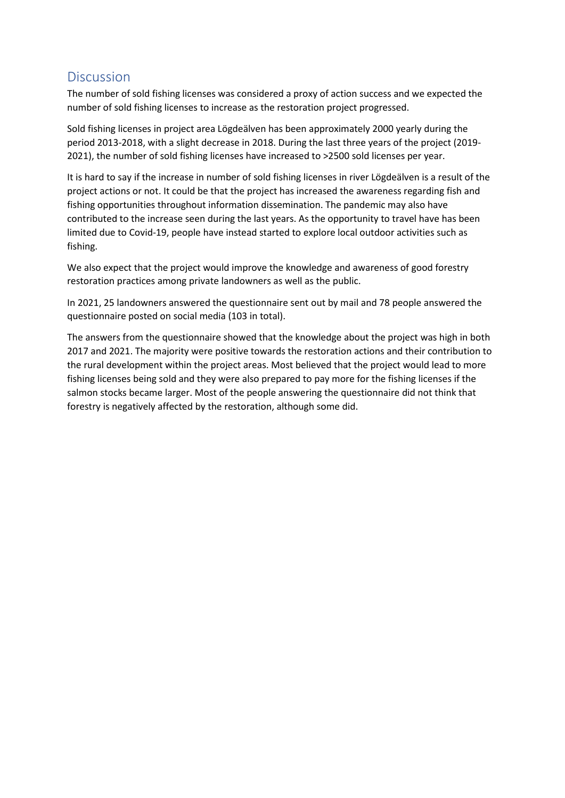## <span id="page-12-0"></span>**Discussion**

The number of sold fishing licenses was considered a proxy of action success and we expected the number of sold fishing licenses to increase as the restoration project progressed.

Sold fishing licenses in project area Lögdeälven has been approximately 2000 yearly during the period 2013-2018, with a slight decrease in 2018. During the last three years of the project (2019- 2021), the number of sold fishing licenses have increased to >2500 sold licenses per year.

It is hard to say if the increase in number of sold fishing licenses in river Lögdeälven is a result of the project actions or not. It could be that the project has increased the awareness regarding fish and fishing opportunities throughout information dissemination. The pandemic may also have contributed to the increase seen during the last years. As the opportunity to travel have has been limited due to Covid-19, people have instead started to explore local outdoor activities such as fishing.

We also expect that the project would improve the knowledge and awareness of good forestry restoration practices among private landowners as well as the public.

In 2021, 25 landowners answered the questionnaire sent out by mail and 78 people answered the questionnaire posted on social media (103 in total).

The answers from the questionnaire showed that the knowledge about the project was high in both 2017 and 2021. The majority were positive towards the restoration actions and their contribution to the rural development within the project areas. Most believed that the project would lead to more fishing licenses being sold and they were also prepared to pay more for the fishing licenses if the salmon stocks became larger. Most of the people answering the questionnaire did not think that forestry is negatively affected by the restoration, although some did.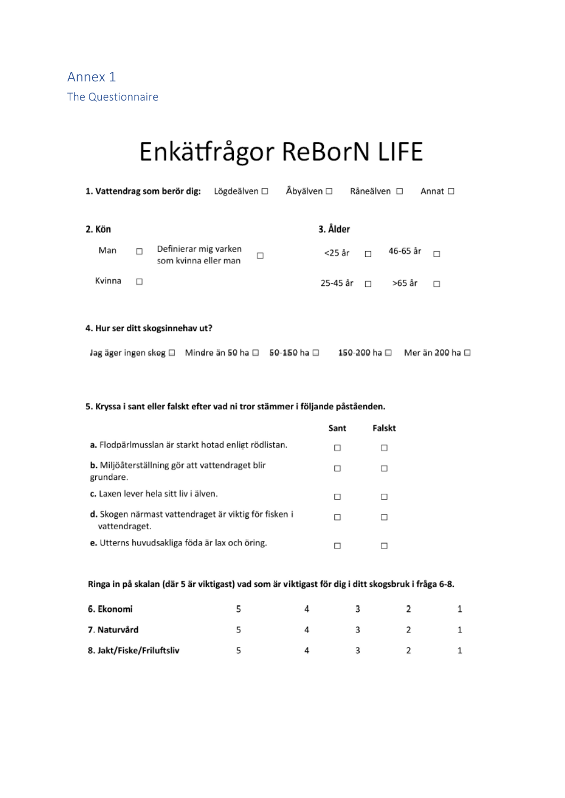# <span id="page-13-1"></span><span id="page-13-0"></span>Enkätfrågor ReBorN LIFE

|        |   | 1. Vattendrag som berör dig:                  | Lögdeälven □ |   | Åbyälven □ | Råneälven □ |          | Annat □ |  |
|--------|---|-----------------------------------------------|--------------|---|------------|-------------|----------|---------|--|
| 2. Kön |   |                                               |              |   | 3. Ålder   |             |          |         |  |
| Man    | п | Definierar mig varken<br>som kvinna eller man |              | □ | <25 år     | $\Box$      | 46-65 år | $\Box$  |  |
| Kvinna |   |                                               |              |   | 25-45 år   | $\Box$      | >65 år   | П       |  |

#### 4. Hur ser ditt skogsinnehav ut?

| Jag äger ingen skog □ Mindre än 50 ha □ 50-150 ha □ |  |  |  | 150-200 ha □ | Mer än 200 ha □ |
|-----------------------------------------------------|--|--|--|--------------|-----------------|
|-----------------------------------------------------|--|--|--|--------------|-----------------|

#### 5. Kryssa i sant eller falskt efter vad ni tror stämmer i följande påståenden.

|                                                                        | Sant | Falskt |
|------------------------------------------------------------------------|------|--------|
| a. Flodpärlmusslan är starkt hotad enligt rödlistan.                   |      | ш      |
| b. Miljöåterställning gör att vattendraget blir<br>grundare.           | □    | □      |
| c. Laxen lever hela sitt liv i älven.                                  |      | п      |
| d. Skogen närmast vattendraget är viktig för fisken i<br>vattendraget. |      | П      |
| e. Utterns huvudsakliga föda är lax och öring.                         |      |        |

#### Ringa in på skalan (där 5 är viktigast) vad som är viktigast för dig i ditt skogsbruk i fråga 6-8.

| 6. Ekonomi                |  |  |  |
|---------------------------|--|--|--|
| 7. Naturvård              |  |  |  |
| 8. Jakt/Fiske/Friluftsliv |  |  |  |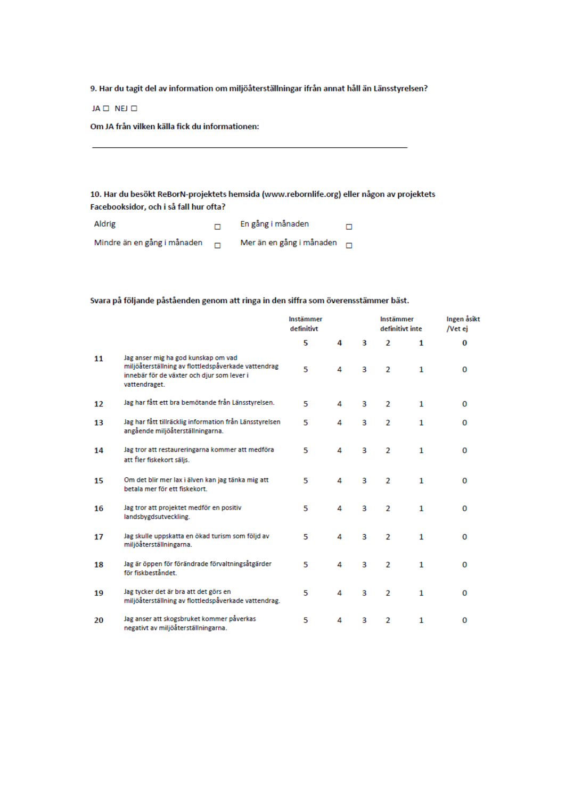9. Har du tagit del av information om miljöåterställningar ifrån annat håll än Länsstyrelsen?

JA <sub>D</sub> NEJ D

Om JA från vilken källa fick du informationen:

10. Har du besökt ReBorN-projektets hemsida (www.rebornlife.org) eller någon av projektets Facebooksidor, och i så fall hur ofta?

| Aldrig                      |        | En gång i månaden               |  |
|-----------------------------|--------|---------------------------------|--|
| Mindre än en gång i månaden | $\Box$ | Mer än en gång i månaden $\Box$ |  |

#### Svara på följande påståenden genom att ringa in den siffra som överensstämmer bäst.

|    |                                                                                                                                                           | Instämmer<br>definitivt |   |   | Instämmer<br>definitivt inte |    | Ingen åsikt<br>/Vet ej |
|----|-----------------------------------------------------------------------------------------------------------------------------------------------------------|-------------------------|---|---|------------------------------|----|------------------------|
|    |                                                                                                                                                           | 5                       | 4 | 3 | $\mathfrak{p}$               | 1  | 0                      |
| 11 | Jag anser mig ha god kunskap om vad<br>miljöåterställning av flottledspåverkade vattendrag<br>innebär för de växter och djur som lever i<br>vattendraget. | 5                       | 4 | 3 | $\mathfrak{p}$               | 1  | 0                      |
| 12 | Jag har fått ett bra bemötande från Länsstyrelsen.                                                                                                        | 5                       | 4 | 3 | $\overline{2}$               | 1. | $\Omega$               |
| 13 | Jag har fått tillräcklig information från Länsstyrelsen<br>angående miljöåterställningarna.                                                               | 5                       | 4 | 3 | 2                            | 1  | 0                      |
| 14 | Jag tror att restaureringarna kommer att medföra<br>att fler fiskekort säljs.                                                                             | 5                       | 4 | 3 | $\overline{2}$               | 1  | 0                      |
| 15 | Om det blir mer lax i älven kan jag tänka mig att<br>betala mer för ett fiskekort.                                                                        | 5                       | 4 | 3 | $\overline{2}$               | 1  | 0                      |
| 16 | Jag tror att projektet medför en positiv<br>landsbygdsutveckling.                                                                                         | 5                       | 4 | 3 | $\mathfrak{p}$               | 1. | $\Omega$               |
| 17 | Jag skulle uppskatta en ökad turism som följd av<br>miljöåterställningarna.                                                                               | 5                       | 4 | 3 | $\overline{2}$               | 1  | 0                      |
| 18 | Jag är öppen för förändrade förvaltningsåtgärder<br>för fiskbeståndet.                                                                                    | 5                       | 4 | 3 | $\overline{2}$               | 1  | 0                      |
| 19 | Jag tycker det är bra att det görs en<br>miljöåterställning av flottledspåverkade vattendrag.                                                             | 5                       | 4 | 3 | $\overline{2}$               | 1  | 0                      |
| 20 | Jag anser att skogsbruket kommer påverkas<br>negativt av miljöåterställningarna.                                                                          | 5                       | 4 | з | 2                            | 1  | $\Omega$               |